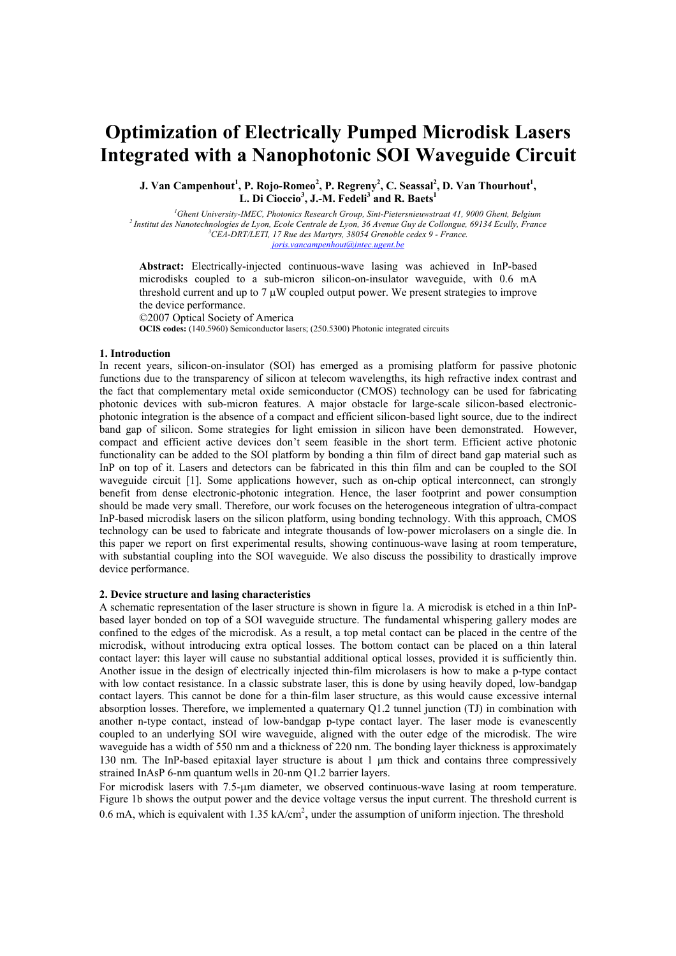# **Optimization of Electrically Pumped Microdisk Lasers Integrated with a Nanophotonic SOI Waveguide Circuit**

**J.** Van Campenhout<sup>1</sup>, P. Rojo-Romeo<sup>2</sup>, P. Regreny<sup>2</sup>, C. Seassal<sup>2</sup>, D. Van Thourhout<sup>1</sup>, L. Di Cioccio<sup>3</sup>, J.-M. Fedeli<sup>3</sup> and R. Baets<sup>1</sup>

<sup>1</sup>Ghent University-IMEC, Photonics Research Group, Sint-Pietersnieuwstraat 41, 9000 Ghent, Belgium <sup>2</sup> Institut des Nanotechnologies de Lyon, Ecole Centrale de Lyon, 36 Avenue Guy de Collongue, 69134 Ecully, France *CEA-DRT/LETI, 17 Rue des Martyrs, 38054 Grenoble cedex 9 - France. joris.vancampenhout@intec.ugent.be*

**Abstract:** Electrically-injected continuous-wave lasing was achieved in InP-based microdisks coupled to a sub-micron silicon-on-insulator waveguide, with 0.6 mA threshold current and up to  $7 \mu W$  coupled output power. We present strategies to improve the device performance.

©2007 Optical Society of America **OCIS codes:** (140.5960) Semiconductor lasers; (250.5300) Photonic integrated circuits

## **1. Introduction**

In recent years, silicon-on-insulator (SOI) has emerged as a promising platform for passive photonic functions due to the transparency of silicon at telecom wavelengths, its high refractive index contrast and the fact that complementary metal oxide semiconductor (CMOS) technology can be used for fabricating photonic devices with sub-micron features. A major obstacle for large-scale silicon-based electronicphotonic integration is the absence of a compact and efficient silicon-based light source, due to the indirect band gap of silicon. Some strategies for light emission in silicon have been demonstrated. However, compact and efficient active devices don't seem feasible in the short term. Efficient active photonic functionality can be added to the SOI platform by bonding a thin film of direct band gap material such as InP on top of it. Lasers and detectors can be fabricated in this thin film and can be coupled to the SOI waveguide circuit [1]. Some applications however, such as on-chip optical interconnect, can strongly benefit from dense electronic-photonic integration. Hence, the laser footprint and power consumption should be made very small. Therefore, our work focuses on the heterogeneous integration of ultra-compact InP-based microdisk lasers on the silicon platform, using bonding technology. With this approach, CMOS technology can be used to fabricate and integrate thousands of low-power microlasers on a single die. In this paper we report on first experimental results, showing continuous-wave lasing at room temperature, with substantial coupling into the SOI waveguide. We also discuss the possibility to drastically improve device performance.

## **2. Device structure and lasing characteristics**

A schematic representation of the laser structure is shown in figure 1a. A microdisk is etched in a thin InPbased layer bonded on top of a SOI waveguide structure. The fundamental whispering gallery modes are confined to the edges of the microdisk. As a result, a top metal contact can be placed in the centre of the microdisk, without introducing extra optical losses. The bottom contact can be placed on a thin lateral contact layer: this layer will cause no substantial additional optical losses, provided it is sufficiently thin. Another issue in the design of electrically injected thin-film microlasers is how to make a p-type contact with low contact resistance. In a classic substrate laser, this is done by using heavily doped, low-bandgap contact layers. This cannot be done for a thin-film laser structure, as this would cause excessive internal absorption losses. Therefore, we implemented a quaternary Q1.2 tunnel junction (TJ) in combination with another n-type contact, instead of low-bandgap p-type contact layer. The laser mode is evanescently coupled to an underlying SOI wire waveguide, aligned with the outer edge of the microdisk. The wire waveguide has a width of 550 nm and a thickness of 220 nm. The bonding layer thickness is approximately 130 nm. The InP-based epitaxial layer structure is about 1 µm thick and contains three compressively strained InAsP 6-nm quantum wells in 20-nm Q1.2 barrier layers.

For microdisk lasers with 7.5-µm diameter, we observed continuous-wave lasing at room temperature. Figure 1b shows the output power and the device voltage versus the input current. The threshold current is 0.6 mA, which is equivalent with  $1.35 \text{ kA/cm}^2$ , under the assumption of uniform injection. The threshold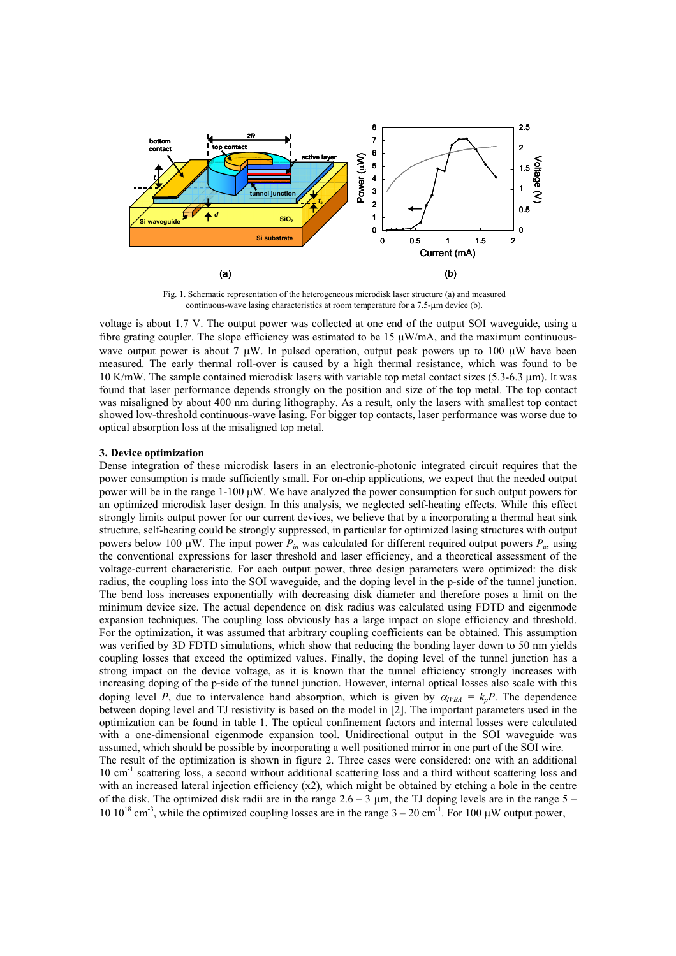

Fig. 1. Schematic representation of the heterogeneous microdisk laser structure (a) and measured continuous-wave lasing characteristics at room temperature for a 7.5-µm device (b).

voltage is about 1.7 V. The output power was collected at one end of the output SOI waveguide, using a fibre grating coupler. The slope efficiency was estimated to be 15  $\mu$ W/mA, and the maximum continuouswave output power is about 7  $\mu$ W. In pulsed operation, output peak powers up to 100  $\mu$ W have been measured. The early thermal roll-over is caused by a high thermal resistance, which was found to be 10 K/mW. The sample contained microdisk lasers with variable top metal contact sizes (5.3-6.3 µm). It was found that laser performance depends strongly on the position and size of the top metal. The top contact was misaligned by about 400 nm during lithography. As a result, only the lasers with smallest top contact showed low-threshold continuous-wave lasing. For bigger top contacts, laser performance was worse due to optical absorption loss at the misaligned top metal.

## **3. Device optimization**

Dense integration of these microdisk lasers in an electronic-photonic integrated circuit requires that the power consumption is made sufficiently small. For on-chip applications, we expect that the needed output power will be in the range 1-100 µW. We have analyzed the power consumption for such output powers for an optimized microdisk laser design. In this analysis, we neglected self-heating effects. While this effect strongly limits output power for our current devices, we believe that by a incorporating a thermal heat sink structure, self-heating could be strongly suppressed, in particular for optimized lasing structures with output powers below 100  $\mu$ W. The input power  $P_{in}$  was calculated for different required output powers  $P_{in}$  using the conventional expressions for laser threshold and laser efficiency, and a theoretical assessment of the voltage-current characteristic. For each output power, three design parameters were optimized: the disk radius, the coupling loss into the SOI waveguide, and the doping level in the p-side of the tunnel junction. The bend loss increases exponentially with decreasing disk diameter and therefore poses a limit on the minimum device size. The actual dependence on disk radius was calculated using FDTD and eigenmode expansion techniques. The coupling loss obviously has a large impact on slope efficiency and threshold. For the optimization, it was assumed that arbitrary coupling coefficients can be obtained. This assumption was verified by 3D FDTD simulations, which show that reducing the bonding layer down to 50 nm yields coupling losses that exceed the optimized values. Finally, the doping level of the tunnel junction has a strong impact on the device voltage, as it is known that the tunnel efficiency strongly increases with increasing doping of the p-side of the tunnel junction. However, internal optical losses also scale with this doping level *P*, due to intervalence band absorption, which is given by  $\alpha_{VBA} = k_pP$ . The dependence between doping level and TJ resistivity is based on the model in [2]. The important parameters used in the optimization can be found in table 1. The optical confinement factors and internal losses were calculated with a one-dimensional eigenmode expansion tool. Unidirectional output in the SOI waveguide was assumed, which should be possible by incorporating a well positioned mirror in one part of the SOI wire. The result of the optimization is shown in figure 2. Three cases were considered: one with an additional 10 cm-1 scattering loss, a second without additional scattering loss and a third without scattering loss and with an increased lateral injection efficiency (x2), which might be obtained by etching a hole in the centre of the disk. The optimized disk radii are in the range  $2.6 - 3 \mu m$ , the TJ doping levels are in the range  $5 -$ 10  $10^{18}$  cm<sup>-3</sup>, while the optimized coupling losses are in the range  $3 - 20$  cm<sup>-1</sup>. For 100  $\mu$ W output power,